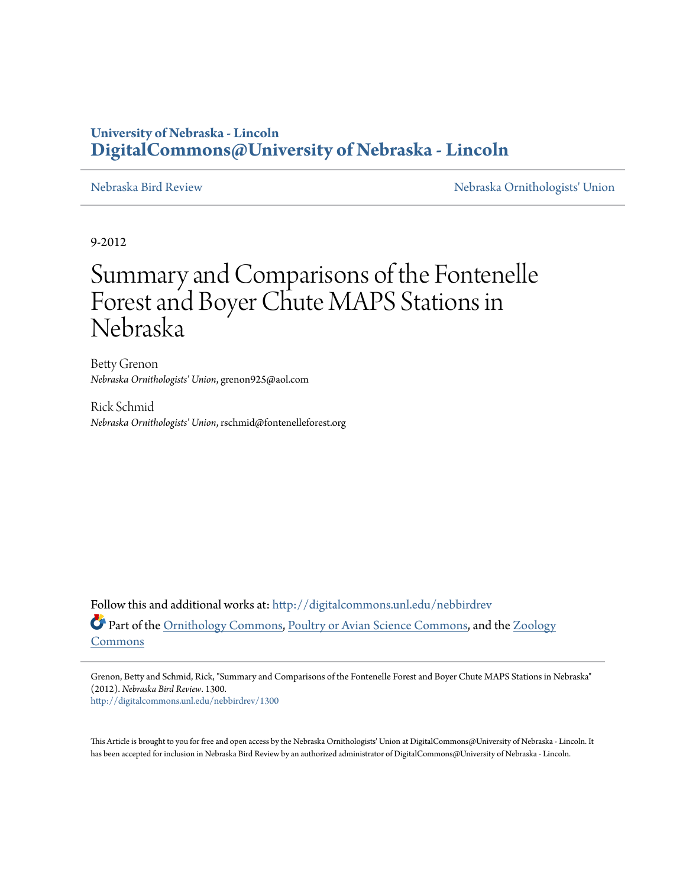# **University of Nebraska - Lincoln [DigitalCommons@University of Nebraska - Lincoln](http://digitalcommons.unl.edu?utm_source=digitalcommons.unl.edu%2Fnebbirdrev%2F1300&utm_medium=PDF&utm_campaign=PDFCoverPages)**

[Nebraska Bird Review](http://digitalcommons.unl.edu/nebbirdrev?utm_source=digitalcommons.unl.edu%2Fnebbirdrev%2F1300&utm_medium=PDF&utm_campaign=PDFCoverPages) [Nebraska Ornithologists' Union](http://digitalcommons.unl.edu/nebornithologists?utm_source=digitalcommons.unl.edu%2Fnebbirdrev%2F1300&utm_medium=PDF&utm_campaign=PDFCoverPages)

9-2012

# Summary and Comparisons of the Fontenelle Forest and Boyer Chute MAPS Stations in Nebraska

Betty Grenon *Nebraska Ornithologists' Union*, grenon925@aol.com

Rick Schmid *Nebraska Ornithologists' Union*, rschmid@fontenelleforest.org

Follow this and additional works at: [http://digitalcommons.unl.edu/nebbirdrev](http://digitalcommons.unl.edu/nebbirdrev?utm_source=digitalcommons.unl.edu%2Fnebbirdrev%2F1300&utm_medium=PDF&utm_campaign=PDFCoverPages) Part of the [Ornithology Commons](http://network.bepress.com/hgg/discipline/1190?utm_source=digitalcommons.unl.edu%2Fnebbirdrev%2F1300&utm_medium=PDF&utm_campaign=PDFCoverPages), [Poultry or Avian Science Commons,](http://network.bepress.com/hgg/discipline/80?utm_source=digitalcommons.unl.edu%2Fnebbirdrev%2F1300&utm_medium=PDF&utm_campaign=PDFCoverPages) and the [Zoology](http://network.bepress.com/hgg/discipline/81?utm_source=digitalcommons.unl.edu%2Fnebbirdrev%2F1300&utm_medium=PDF&utm_campaign=PDFCoverPages) [Commons](http://network.bepress.com/hgg/discipline/81?utm_source=digitalcommons.unl.edu%2Fnebbirdrev%2F1300&utm_medium=PDF&utm_campaign=PDFCoverPages)

Grenon, Betty and Schmid, Rick, "Summary and Comparisons of the Fontenelle Forest and Boyer Chute MAPS Stations in Nebraska" (2012). *Nebraska Bird Review*. 1300. [http://digitalcommons.unl.edu/nebbirdrev/1300](http://digitalcommons.unl.edu/nebbirdrev/1300?utm_source=digitalcommons.unl.edu%2Fnebbirdrev%2F1300&utm_medium=PDF&utm_campaign=PDFCoverPages)

This Article is brought to you for free and open access by the Nebraska Ornithologists' Union at DigitalCommons@University of Nebraska - Lincoln. It has been accepted for inclusion in Nebraska Bird Review by an authorized administrator of DigitalCommons@University of Nebraska - Lincoln.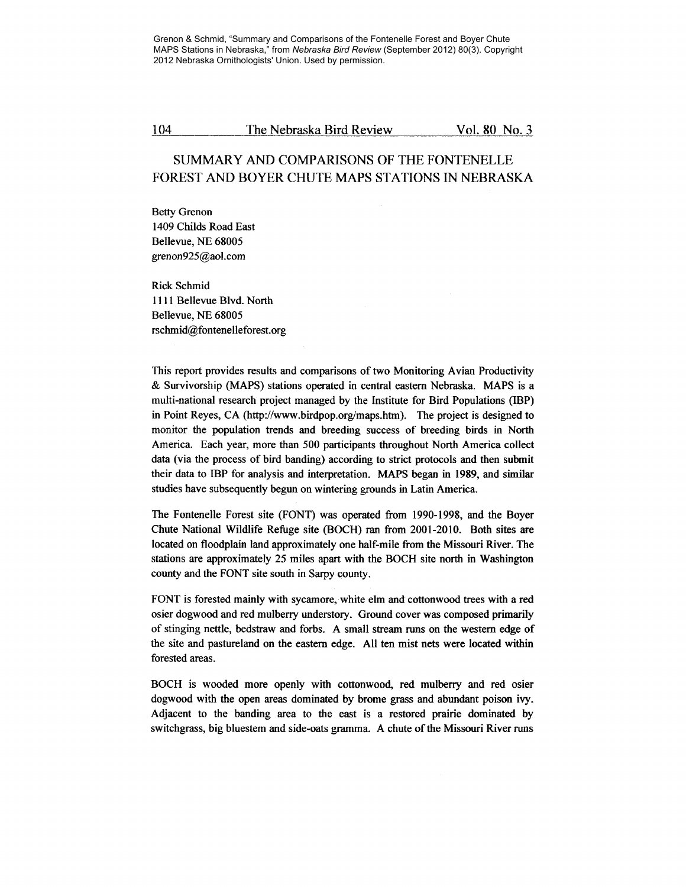Grenon & Schmid, "Summary and Comparisons of the Fontenelle Forest and Boyer Chute MAPS Stations in Nebraska," from *Nebraska Bird Review* (September 2012) 80(3). Copyright 2012 Nebraska Ornithologists' Union. Used by permission.

### 104 The Nebraska Bird Review Vol. 80 No. 3

# SUMMARY AND COMPARISONS OF THE FONTENELLE FOREST AND BOYER CHUTE MAPS STATIONS IN NEBRASKA

Betty Grenon 1409 Childs Road East Bellevue, NE 68005 grenon925@aol.com

Rick Schmid 1111 Bellevue Blvd. North Bellevue, NE 68005 rschmid@fontenelleforest.org

This report provides results and comparisons of two Monitoring Avian Productivity & Survivorship (MAPS) stations operated in central eastern Nebraska. MAPS is a multi-national research project managed by the Institute for Bird Populations (IBP) in Point Reyes, CA (http://www.birdpop.org/maps.htm). The project is designed to monitor the population trends and breeding success of breeding birds in North America. Each year, more than 500 participants throughout North America collect data (via the process of bird banding) according to strict protocols and then submit their data to IBP for analysis and interpretation. MAPS began in 1989, and similar studies have subsequently begun on wintering grounds in Latin America.

The Fontenelle Forest site (FONT) was operated from 1990-1998, and the Boyer Chute National Wildlife Refuge site (BOCH) ran from 2001-2010. Both sites are located on floodplain land approximately one half-mile from the Missouri River. The stations are approximately 25 miles apart with the BOCH site north in Washington county and the FONT site south in Sarpy county.

FONT is forested mainly with sycamore, white elm and cottonwood trees with a red osier dogwood and red mulberry understory. Ground cover was composed primarily of stinging nettle, bedstraw and forbs. A small stream runs on the western edge of the site and pastureland on the eastern edge. All ten mist nets were located within forested areas.

BOCH is wooded more openly with cottonwood, red mulberry and red osier dogwood with the open areas dominated by brome grass and abundant poison ivy. Adjacent to the banding area to the east is a restored prairie dominated by switchgrass, big bluestem and side-oats gramma. A chute of the Missouri River runs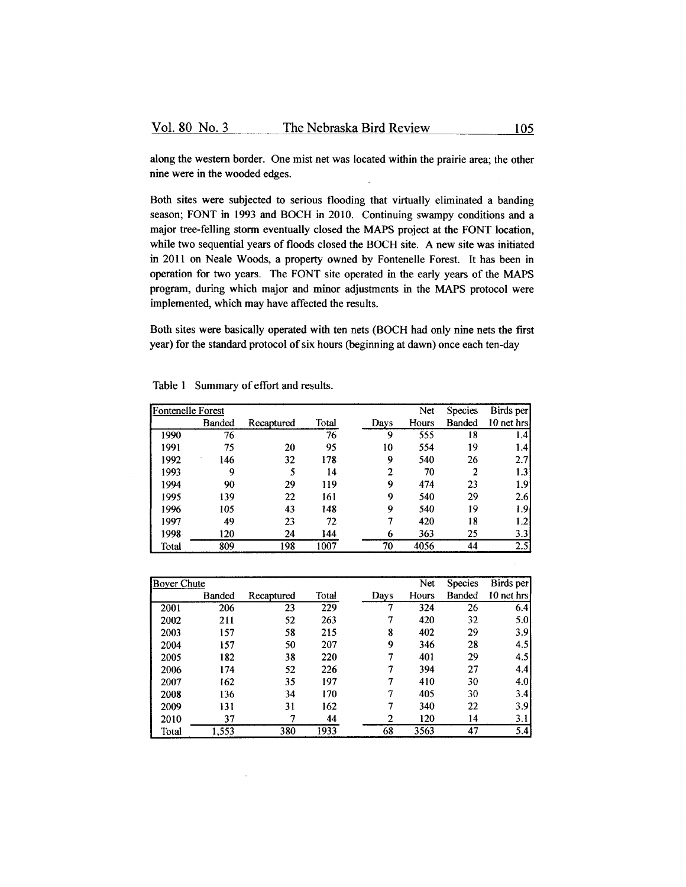along the western border. One mist net was located within the prairie area; the other nine were in the wooded edges.

Both sites were subjected to serious flooding that virtually eliminated a banding season; FONT in 1993 and BOCH in 2010. Continuing swampy conditions and a major tree-felling storm eventually closed the MAPS project at the FONT location, while two sequential years of floods closed the BOCH site. A new site was initiated in 2011 on Neale Woods, a property owned by Fontenelle Forest. It has been in operation for two years. The FONT site operated in the early years of the MAPS program, during which major and minor adjustments in the MAPS protocol were implemented, which may have affected the results.

Both sites were basically operated with ten nets (BOCH had only nine nets the first year) for the standard protocol of six hours (beginning at dawn) once each ten-day

| <b>Fontenelle</b> Forest |        |            |       |      | Net   | <b>Species</b> | Birds per        |
|--------------------------|--------|------------|-------|------|-------|----------------|------------------|
|                          | Banded | Recaptured | Total | Days | Hours | Banded         | 10 net hrs       |
| 1990                     | 76     |            | 76    | 9    | 555   | 18             | 1.4              |
| 1991                     | 75     | 20         | 95    | 10   | 554   | 19             | 1.4              |
| 1992                     | 146    | 32         | 178   | 9    | 540   | 26             | 2.7              |
| 1993                     | 9      | 5          | 14    | 2    | 70    | $\overline{2}$ | 1.3              |
| 1994                     | 90     | 29         | 119   | 9    | 474   | 23             | 1.9 <sup>°</sup> |
| 1995                     | 139    | 22         | 161   | 9    | 540   | 29             | 2.6 <sub>1</sub> |
| 1996                     | 105    | 43         | 148   | 9    | 540   | 19             | 1.9 <sub>1</sub> |
| 1997                     | 49     | 23         | 72    |      | 420   | 18             | 1.2              |
| 1998                     | 120    | 24         | 144   | 6    | 363   | 25             | 3.3              |
| Total                    | 809    | 198        | 1007  | 70   | 4056  | 44             | 2.5              |

Table 1 Summary of effort and results.

| <b>Boyer Chute</b> |        |            |       |      | Net   | <b>Species</b> | Birds per  |
|--------------------|--------|------------|-------|------|-------|----------------|------------|
|                    | Banded | Recaptured | Total | Days | Hours | <b>Banded</b>  | 10 net hrs |
| 2001               | 206    | 23         | 229   |      | 324   | 26             | 6.4        |
| 2002               | 211    | 52         | 263   |      | 420   | 32             | 5.0        |
| 2003               | 157    | 58         | 215   | 8    | 402   | 29             | 3.9        |
| 2004               | 157    | 50         | 207   | 9    | 346   | 28             | 4.5        |
| 2005               | 182    | 38         | 220   | 7    | 401   | 29             | 4.5        |
| 2006               | 174    | 52         | 226   |      | 394   | 27             | 4.4        |
| 2007               | 162    | 35         | 197   | 7    | 410   | 30             | 4.0        |
| 2008               | 136    | 34         | 170   | 7    | 405   | 30             | 3.4        |
| 2009               | 131    | 31         | 162   | 7    | 340   | 22             | 3.9        |
| 2010               | 37     |            | 44    | 2    | 120   | 14             | 3.1        |
| Total              | 1,553  | 380        | 1933  | 68   | 3563  | 47             | 5.4        |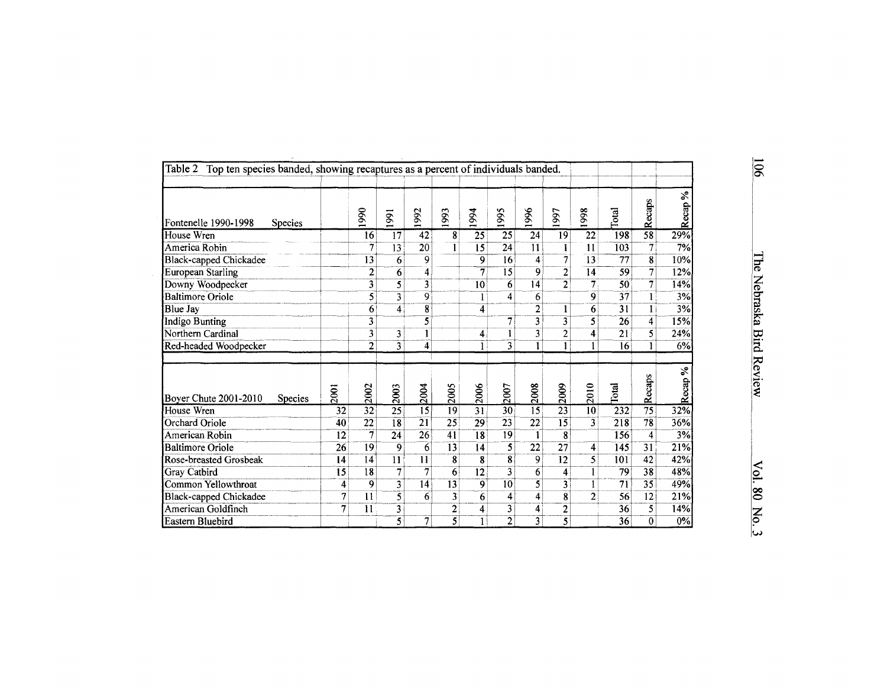| Top ten species banded, showing recaptures as a percent of individuals banded.<br>Table 2 |                |      |                         |                       |                 |                         |                 |                         |                         |                    |                  |                 |                 |                         |
|-------------------------------------------------------------------------------------------|----------------|------|-------------------------|-----------------------|-----------------|-------------------------|-----------------|-------------------------|-------------------------|--------------------|------------------|-----------------|-----------------|-------------------------|
| Fontenelle 1990-1998                                                                      | <b>Species</b> |      | 990                     | 991                   | 992             | 993                     | 994             | 995                     | 996                     | 997                | 998              | Total           | Recaps          | $\%$<br>Recap'          |
| House Wren                                                                                |                |      | $\overline{16}$         | $\overline{17}$       | $\overline{42}$ | $\overline{\mathbf{8}}$ | $\overline{25}$ | 25                      | $\overline{24}$         | $\overline{19}$    | $\overline{22}$  | 198             | 58              | 29%                     |
| America Robin                                                                             |                |      | 7                       | 13                    | 20              | 1                       | 15              | $\overline{24}$         | $\overline{11}$         |                    | 11               | 103             | 7               | 7%                      |
| <b>Black-capped Chickadee</b>                                                             |                |      | 13                      | 6                     | 9               |                         | 9               | 16                      | $\overline{\bf{4}}$     | 7                  | 13               | 77              | 8               | 10%                     |
| <b>European Starling</b>                                                                  |                |      | 2                       | 6                     | 4               |                         | $\overline{7}$  | $\overline{15}$         | 9                       | $\overline{2}$     | 14               | 59              | 7               | 12%                     |
| Downy Woodpecker                                                                          |                |      | $\overline{\mathbf{3}}$ | 5                     | 3               |                         | 10              | 6                       | 14                      | $\overline{2}$     | 7                | 50              | 7               | 14%                     |
| <b>Baltimore Oriole</b>                                                                   |                |      | 5                       | 3                     | 9               |                         | 1               | 4                       | 6                       |                    | 9                | $\overline{37}$ |                 | 3%                      |
| Blue Jay                                                                                  |                |      | 6                       | $\boldsymbol{\Delta}$ | 8               |                         | 4               |                         | $\overline{2}$          | 1                  | 6                | 31              |                 | 3%                      |
| <b>Indigo Bunting</b>                                                                     |                |      | 3                       |                       | 5               |                         |                 | 7                       | 3                       | $\overline{3}$     | 5                | 26              | 4               | 15%                     |
| Northern Cardinal                                                                         |                |      | $\overline{\mathbf{3}}$ | 3                     | 1               |                         | 4               | 1                       | 3                       | $\overline{2}$     | 4                | $\overline{21}$ | 5               | 24%                     |
| Red-headed Woodpecker                                                                     |                |      | $\overline{2}$          | 3                     | 4               |                         | $\mathbf{1}$    | 3                       |                         |                    |                  | 16              |                 | 6%                      |
|                                                                                           |                |      |                         |                       |                 |                         |                 |                         |                         |                    |                  |                 |                 |                         |
| Boyer Chute 2001-2010                                                                     | <b>Species</b> | 2001 | 2002                    | 2003                  | 2004            | 2005                    | 2006            | 2007                    | 2008                    | 2009               | 2010             | <b>Total</b>    | Recaps          | $\mathcal{S}$<br>Recap' |
| House Wren                                                                                |                | 32   | $\overline{32}$         | $\overline{25}$       | $\overline{15}$ | $\overline{19}$         | $\overline{31}$ | $\overline{30}$         | $\overline{15}$         | $\overline{23}$    | 10 <sup>10</sup> | 232             | $\overline{75}$ | 32%                     |
| Orchard Oriole                                                                            |                | 40   | $\overline{22}$         | 18                    | 21              | $\overline{25}$         | 29              | 23                      | $\overline{22}$         | $1\overline{5}$    | 3                | 218             | 78              | 36%                     |
| American Robin                                                                            |                | 12   | $\overline{7}$          | 24                    | $\overline{26}$ | 41                      | 18              | 19                      | 1                       | 8                  |                  | 156             | 4               | 3%                      |
| <b>Baltimore Oriole</b>                                                                   |                | 26   | 19                      | $\boldsymbol{9}$      | 6               | 13                      | 14              | 5                       | 22                      | $\overline{27}$    | 4                | 145             | 31              | 21%                     |
| Rose-breasted Grosbeak                                                                    |                | 14   | 14                      | 11                    | $\overline{11}$ | 8                       | 8               | $\overline{\mathbf{8}}$ | 9                       | 12                 | 5                | 101             | 42              | 42%                     |
| Gray Catbird                                                                              |                | 15   | 18                      | 7                     | $\overline{7}$  | 6                       | 12              | 3                       | 6                       | 4                  |                  | 79              | 38              | 48%                     |
| Common Yellowthroat                                                                       |                | 4    | 9                       | 3                     | 14              | $\overline{13}$         | 9               | $\overline{10}$         | $\overline{\mathbf{5}}$ | 3                  |                  | $\overline{71}$ | 35              | 49%                     |
| <b>Black-capped Chickadee</b>                                                             |                | 7    | 11                      | 5                     | 6               | 3                       | 6               | 4                       | 4                       | $\overline{\bf 8}$ | $\mathfrak{D}$   | 56              | 12              | 21%                     |
| American Goldfinch                                                                        |                | 7    | $\mathbf{11}$           | 3                     |                 | $\overline{2}$          | 4               | 3                       | 4                       | 2                  |                  | 36              | 5               | 14%                     |
| Eastern Bluebird                                                                          |                |      |                         | 5                     | 7               |                         | $\mathbf{1}$    | $\overline{2}$          | $\overline{3}$          |                    |                  | 36              | 0               | 0%                      |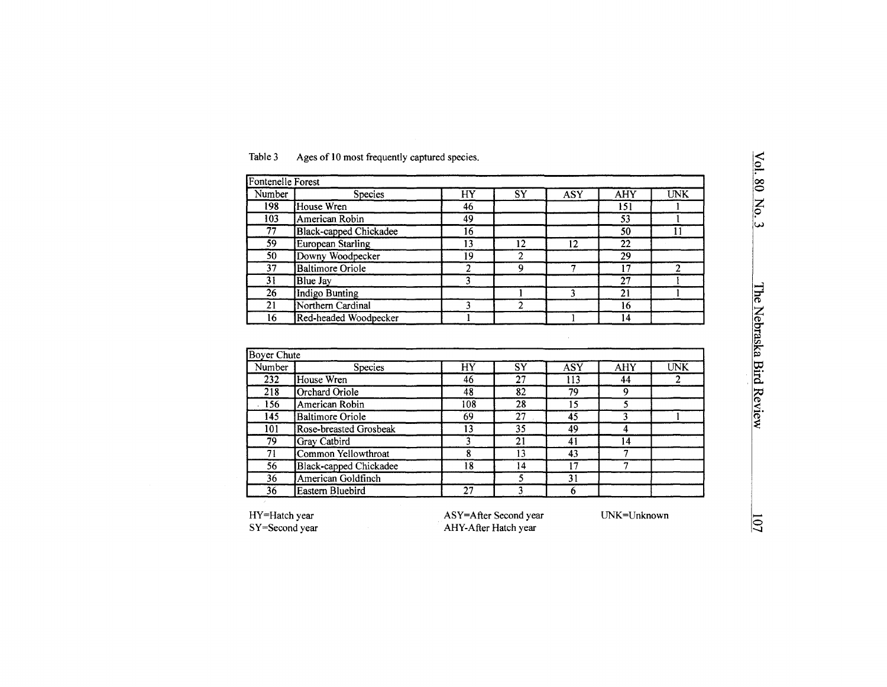| Number | <b>Species</b>                | HY | SY | <b>ASY</b> | <b>AHY</b> | <b>UNK</b> |
|--------|-------------------------------|----|----|------------|------------|------------|
| 198    | House Wren                    | 46 |    |            | 151        |            |
| 103    | American Robin                | 49 |    |            | 53         |            |
| 77     | <b>Black-capped Chickadee</b> | 16 |    |            | 50         |            |
| 59     | European Starling             | 13 | 12 | 12         | 22         |            |
| 50     | Downy Woodpecker              | 19 | ኅ  |            | 29         |            |
| 37     | <b>Baltimore Oriole</b>       |    | Q  |            | 17         |            |
| 31     | Blue Jay                      |    |    |            | 27         |            |
| 26     | <b>Indigo Bunting</b>         |    |    |            | 21         |            |
| 21     | Northern Cardinal             |    |    |            | 16         |            |
| 16     | Red-headed Woodpecker         |    |    |            | 14         |            |

## Table 3 Ages of 10 most frequently captured species.

| <b>Boyer Chute</b> |                               |     |    |            |            |            |
|--------------------|-------------------------------|-----|----|------------|------------|------------|
| Number             | <b>Species</b>                | HY  | SY | <b>ASY</b> | <b>AHY</b> | <b>UNK</b> |
| 232                | House Wren                    | 46  | 27 | 113        | 44         |            |
| 218                | Orchard Oriole                | 48  | 82 | 79         | 9          |            |
| 156                | American Robin                | 108 | 28 | 15         |            |            |
| 145                | <b>Baltimore Oriole</b>       | 69  | 27 | 45         |            |            |
| 101                | Rose-breasted Grosbeak        | 13  | 35 | 49         |            |            |
| 79                 | Gray Catbird                  |     | 21 | 41         | 14         |            |
| 71                 | Common Yellowthroat           | 8   | 13 | 43         |            |            |
| 56                 | <b>Black-capped Chickadee</b> | 18  | 14 | 17         |            |            |
| 36                 | American Goldfinch            |     |    | 31         |            |            |
| 36                 | Eastern Bluebird              | 27  |    | 6          |            |            |

HY=Hatch year SY=Second year

ASY=After Second year AHY-After Hatch year

UNK=Unknown

 $\sim$   $\sim$ 

Vol. 80 No.  $\bf \omega$ .....,  $\bar{\mathbf{o}}$  $-\frac{1}{2}$  $\alpha$ Bir  $\cdot$  1  $\cdot$  $\dot{v}$   $\dot{v}$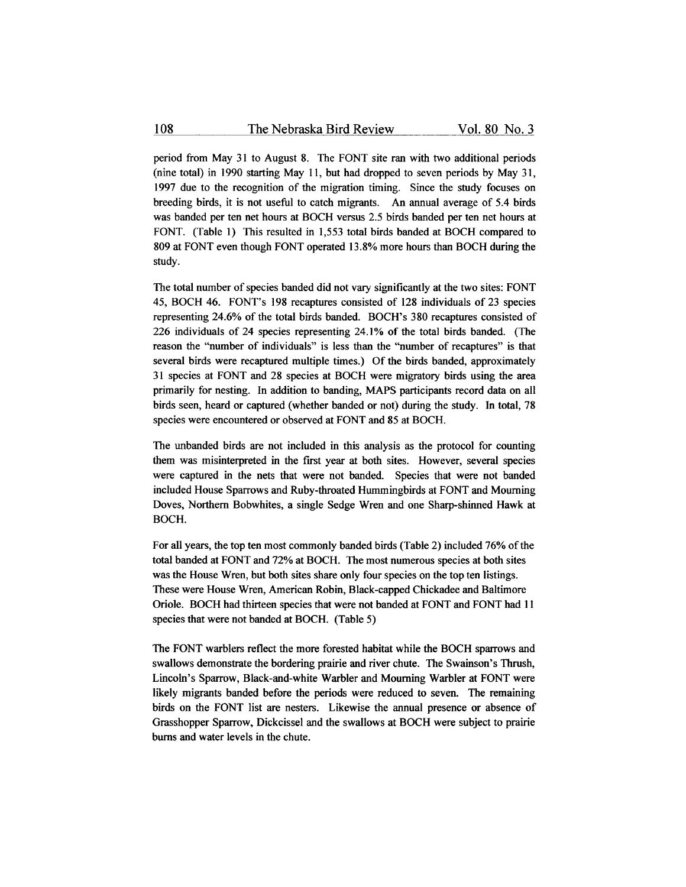period from May 31 to August 8. The FONT site ran with two additional periods (nine total) in 1990 starting May 11, but had dropped to seven periods by May 31, 1997 due to the recognition of the migration timing. Since the study focuses on breeding birds, it is not useful to catch migrants. An annual average of 5.4 birds was banded per ten net hours at BOCH versus 2.5 birds banded per ten net hours at FONT. (Table 1) This resulted in 1,553 total birds banded at BOCH compared to 809 at FONT even though FONT operated 13.8% more hours than BOCH during the study.

The total number of species banded did not vary significantly at the two sites: FONT 45, BOCH 46. FONT's 198 recaptures consisted of 128 individuals of 23 species representing 24.6% of the total birds banded. BOCH's 380 recaptures consisted of 226 individuals of 24 species representing 24.1 % of the total birds banded. (The reason the "number of individuals" is less than the "number of recaptures" is that several birds were recaptured multiple times.) Of the birds banded, approximately 31 species at FONT and 28 species at BOCH were migratory birds using the area primarily for nesting. In addition to banding, MAPS participants record data on all birds seen, heard or captured (whether banded or not) during the study. In total, 78 species were encountered or observed at FONT and 85 at BOCH.

The unhanded birds are not included in this analysis as the protocol for counting them was misinterpreted in the first year at both sites. However, several species were captured in the nets that were not banded. Species that were not banded included House Sparrows and Ruby-throated Hummingbirds at FONT and Mourning Doves, Northern Bobwhites, a single Sedge Wren and one Sharp-shinned Hawk at BOCH.

For all years, the top ten most commonly banded birds (Table 2) included 76% of the total banded at FONT and 72% at BOCH. The most numerous species at both sites was the House Wren, but both sites share only four species on the top ten listings. These were House Wren, American Robin, Black-capped Chickadee and Baltimore Oriole. BOCH had thirteen species that were not banded at FONT and FONT had 11 species that were not banded at BOCH. (Table 5)

The FONT warblers reflect the more forested habitat while the BOCH sparrows and swallows demonstrate the bordering prairie and river chute. The Swainson's Thrush, Lincoln's Sparrow, Black-and-white Warbler and Mourning Warbler at FONT were likely migrants banded before the periods were reduced to seven. The remaining birds on the FONT list are nesters. Likewise the annual presence or absence of Grasshopper Sparrow, Dickcissel and the swallows at BOCH were subject to prairie bums and water levels in the chute.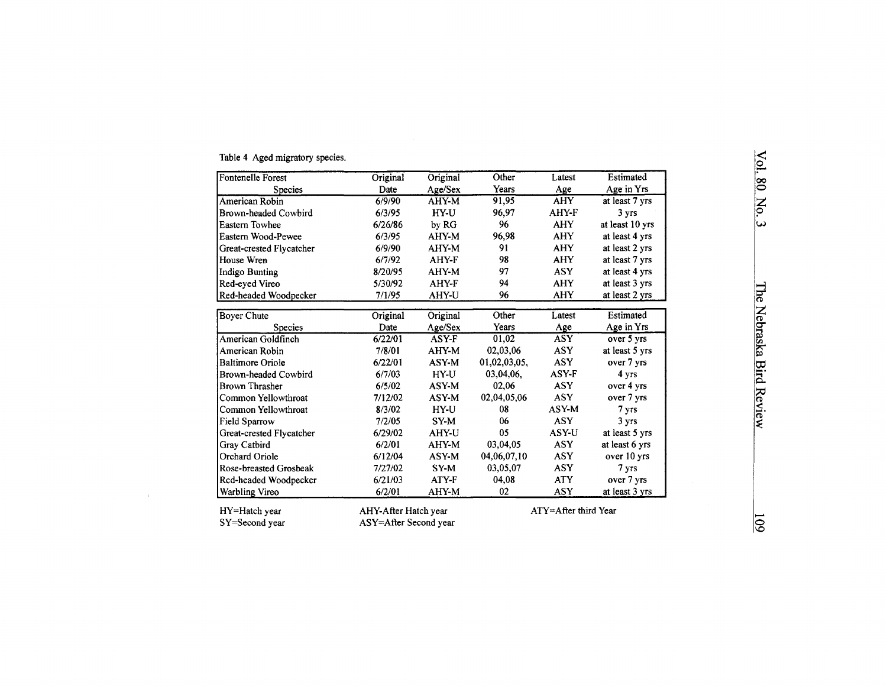| <b>Fontenelle Forest</b> | Original             | Original     | Other        | Latest                   | Estimated       |
|--------------------------|----------------------|--------------|--------------|--------------------------|-----------------|
| Species                  | Date                 | Age/Sex      | Years        | Age                      | Age in Yrs      |
| American Robin           | 6/9/90               | AHY-M        | 91,95        | <b>AHY</b>               | at least 7 yrs  |
| Brown-headed Cowbird     | 6/3/95               | HY-U         | 96,97        | AHY-F                    | 3 yrs           |
| <b>Eastern Towhee</b>    | 6/26/86              | by RG        | 96           | <b>AHY</b>               | at least 10 yrs |
| Eastern Wood-Pewee       | 6/3/95               | AHY-M        | 96,98        | <b>AHY</b>               | at least 4 yrs  |
| Great-crested Flycatcher | 6/9/90               | AHY-M        | 91           | <b>AHY</b>               | at least 2 yrs  |
| House Wren               | 6/7/92               | AHY-F        | 98           | <b>AHY</b>               | at least 7 yrs  |
| <b>Indigo Bunting</b>    | 8/20/95              | AHY-M        | 97           | <b>ASY</b>               | at least 4 yrs  |
| Red-eyed Vireo           | 5/30/92              | AHY-F        | 94           | <b>AHY</b>               | at least 3 yrs  |
| Red-headed Woodpecker    | 7/1/95               | <b>AHY-U</b> | 96           | <b>AHY</b>               | at least 2 yrs  |
|                          |                      |              |              |                          |                 |
| <b>Boyer Chute</b>       | Original             | Original     | Other        | Latest                   | Estimated       |
| <b>Species</b>           | Date                 | Age/Sex      | Years        | Age                      | Age in Yrs      |
| American Goldfinch       | 6/22/01              | ASY-F        | 01,02        | <b>ASY</b>               | over 5 yrs      |
| American Robin           | 7/8/01               | AHY-M        | 02,03,06     | <b>ASY</b>               | at least 5 yrs  |
| <b>Baltimore Oriole</b>  | 6/22/01              | ASY-M        | 01,02,03,05, | ASY                      | over 7 yrs      |
| Brown-headed Cowbird     | 6/7/03               | HY-U         | 03.04.06.    | ASY-F                    | 4 yrs           |
| <b>Brown Thrasher</b>    | 6/5/02               | ASY-M        | 02.06        | <b>ASY</b>               | over 4 yrs      |
| Common Yellowthroat      | 7/12/02              | ASY-M        | 02,04,05,06  | <b>ASY</b>               | over 7 yrs      |
| Common Yellowthroat      | 8/3/02               | HY-U         | 08           | ASY-M                    | 7 yrs           |
| Field Sparrow            | 7/2/05               | SY-M         | 06           | <b>ASY</b>               | 3 yrs           |
| Great-crested Flycatcher | 6/29/02              | <b>AHY-U</b> | 05           | ASY-U                    | at least 5 yrs  |
| Gray Catbird             | 6/2/01               | AHY-M        | 03.04.05     | <b>ASY</b>               | at least 6 yrs  |
| Orchard Oriole           | 6/12/04              | ASY-M        | 04.06.07.10  | <b>ASY</b>               | over 10 yrs     |
| Rose-breasted Grosbeak   | 7/27/02              | SY-M         | 03,05,07     | <b>ASY</b>               | 7 yrs           |
| Red-headed Woodpecker    | 6/21/03              | ATY-F        | 04,08        | <b>ATY</b>               | over 7 yrs      |
| Warbling Vireo           | 6/2/01               | AHY-M        | 02           | <b>ASY</b>               | at least 3 yrs  |
| HY=Hatch year            | AHY-After Hatch year |              |              | $ATY =$ After third Year |                 |

ASY=After Second year

|  | Table 4 Aged migratory species. |  |
|--|---------------------------------|--|
|  |                                 |  |

HY=Hatch year SY=Second year

 $\sim$ 

ATY=After third Year

**Vol.** 

~-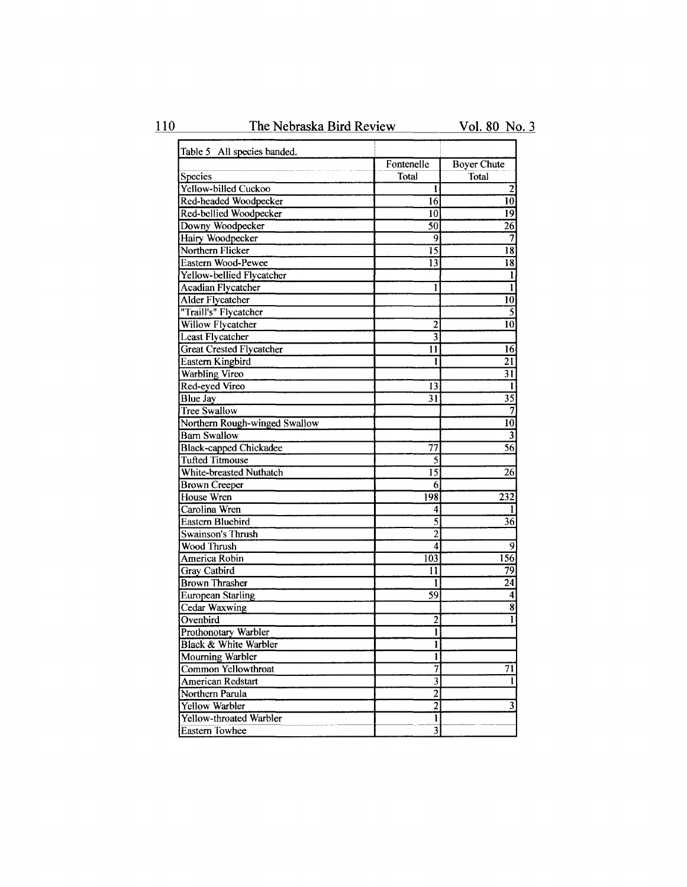110 The Nebraska Bird Review Vol. 80 No. 3

| Table 5 All species banded.     |                         |                         |
|---------------------------------|-------------------------|-------------------------|
|                                 | Fontenelle              | <b>Boyer Chute</b>      |
| Species                         | Total                   | Total                   |
| Yellow-billed Cuckoo            | l                       | $\overline{\mathbf{c}}$ |
| <b>Red-headed Woodpecker</b>    | 16                      | $\overline{10}$         |
| <b>Red-bellied Woodpecker</b>   | 10                      | $\overline{19}$         |
| Downy Woodpecker                | 50                      | 26                      |
| Hairy Woodpecker                | 9                       | $\overline{\tau}$       |
| Northern Flicker                | 15                      | $\overline{18}$         |
| <b>Eastern Wood-Pewee</b>       | 13                      | 18                      |
| Yellow-bellied Flycatcher       |                         | $\mathbf{I}$            |
| <b>Acadian Flycatcher</b>       | 1                       | $\overline{1}$          |
| <b>Alder Flycatcher</b>         |                         | $\overline{10}$         |
| "Traill's" Flycatcher           |                         | $\overline{5}$          |
| Willow Flycatcher               | $\overline{c}$          | $\overline{10}$         |
| Least Flycatcher                | 3                       |                         |
| <b>Great Crested Flycatcher</b> | 11                      | 16                      |
| Eastern Kingbird                |                         | $\overline{21}$         |
| <b>Warbling Vireo</b>           |                         | $\overline{31}$         |
| Red-eyed Vireo                  | 13                      | 1                       |
| <b>Blue Jay</b>                 | 31                      | $\overline{35}$         |
| <b>Tree Swallow</b>             |                         | $\overline{\tau}$       |
| Northern Rough-winged Swallow   |                         | $\overline{10}$         |
| <b>Barn Swallow</b>             |                         | $\overline{\mathbf{3}}$ |
| <b>Black-capped Chickadee</b>   | $\overline{77}$         | $\overline{56}$         |
| <b>Tufted Titmouse</b>          | $\overline{5}$          |                         |
| White-breasted Nuthatch         | 15                      | 26                      |
| <b>Brown Creeper</b>            | 6                       |                         |
| House Wren                      | 198                     | 232                     |
| Carolina Wren                   | 4                       |                         |
| <b>Eastern Bluebird</b>         |                         | $\overline{36}$         |
| <b>Swainson's Thrush</b>        | $\overline{2}$          |                         |
| <b>Wood Thrush</b>              | 4                       | 9                       |
| America Robin                   | $\overline{103}$        | 156                     |
| <b>Gray Catbird</b>             | 11                      | 79                      |
| <b>Brown Thrasher</b>           | 1                       | 24                      |
| <b>European Starling</b>        | 59                      | 4                       |
| <b>Cedar Waxwing</b>            |                         | $\overline{\mathbf{8}}$ |
| Ovenbird                        | $\overline{c}$          | 1                       |
| Prothonotary Warbler            | 1                       |                         |
| Black & White Warbler           |                         |                         |
| Mourning Warbler                | 1                       |                         |
| <b>Common Yellowthroat</b>      | $\overline{\tau}$       | 71                      |
| <b>American Redstart</b>        | $\overline{\mathbf{3}}$ | ı                       |
| Northern Parula                 | $\overline{c}$          |                         |
| Yellow Warbler                  | $\overline{2}$          | 3                       |
| <b>Yellow-throated Warbler</b>  | 1                       |                         |
| <b>Eastern Towhee</b>           | $\overline{\mathbf{3}}$ |                         |